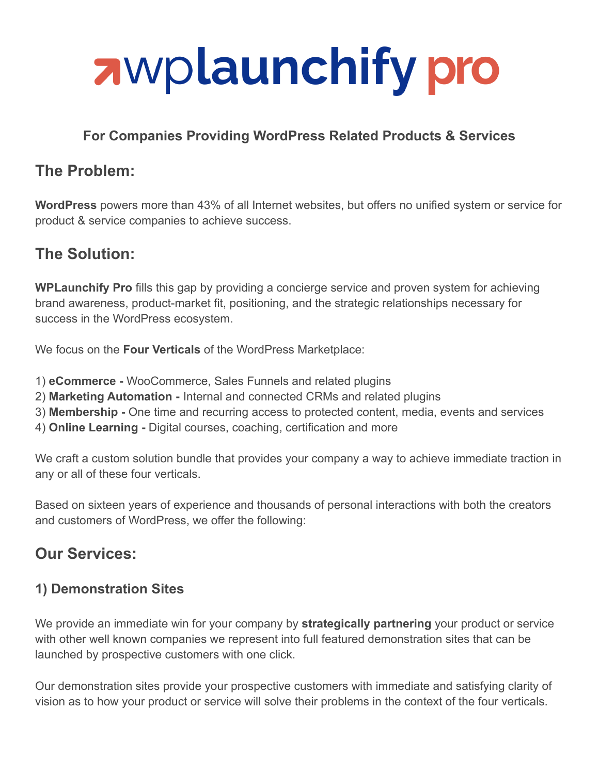

## **For Companies Providing WordPress Related Products & Services**

# **The Problem:**

**WordPress** powers more than 43% of all Internet websites, but offers no unified system or service for product & service companies to achieve success.

# **The Solution:**

**WPLaunchify Pro** fills this gap by providing a concierge service and proven system for achieving brand awareness, product-market fit, positioning, and the strategic relationships necessary for success in the WordPress ecosystem.

We focus on the **Four Verticals** of the WordPress Marketplace:

- 1) **eCommerce -** WooCommerce, Sales Funnels and related plugins
- 2) **Marketing Automation -** Internal and connected CRMs and related plugins
- 3) **Membership -** One time and recurring access to protected content, media, events and services
- 4) **Online Learning -** Digital courses, coaching, certification and more

We craft a custom solution bundle that provides your company a way to achieve immediate traction in any or all of these four verticals.

Based on sixteen years of experience and thousands of personal interactions with both the creators and customers of WordPress, we offer the following:

# **Our Services:**

#### **1) Demonstration Sites**

We provide an immediate win for your company by **strategically partnering** your product or service with other well known companies we represent into full featured demonstration sites that can be launched by prospective customers with one click.

Our demonstration sites provide your prospective customers with immediate and satisfying clarity of vision as to how your product or service will solve their problems in the context of the four verticals.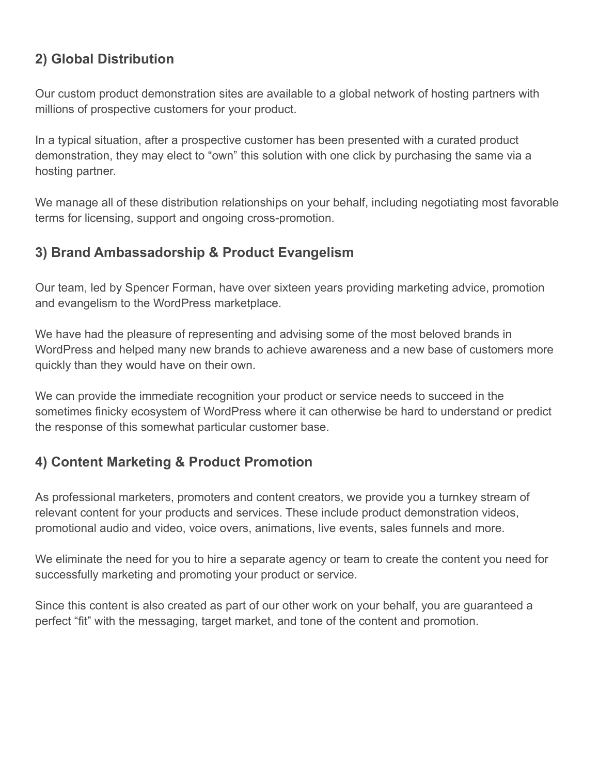## **2) Global Distribution**

Our custom product demonstration sites are available to a global network of hosting partners with millions of prospective customers for your product.

In a typical situation, after a prospective customer has been presented with a curated product demonstration, they may elect to "own" this solution with one click by purchasing the same via a hosting partner.

We manage all of these distribution relationships on your behalf, including negotiating most favorable terms for licensing, support and ongoing cross-promotion.

#### **3) Brand Ambassadorship & Product Evangelism**

Our team, led by Spencer Forman, have over sixteen years providing marketing advice, promotion and evangelism to the WordPress marketplace.

We have had the pleasure of representing and advising some of the most beloved brands in WordPress and helped many new brands to achieve awareness and a new base of customers more quickly than they would have on their own.

We can provide the immediate recognition your product or service needs to succeed in the sometimes finicky ecosystem of WordPress where it can otherwise be hard to understand or predict the response of this somewhat particular customer base.

## **4) Content Marketing & Product Promotion**

As professional marketers, promoters and content creators, we provide you a turnkey stream of relevant content for your products and services. These include product demonstration videos, promotional audio and video, voice overs, animations, live events, sales funnels and more.

We eliminate the need for you to hire a separate agency or team to create the content you need for successfully marketing and promoting your product or service.

Since this content is also created as part of our other work on your behalf, you are guaranteed a perfect "fit" with the messaging, target market, and tone of the content and promotion.